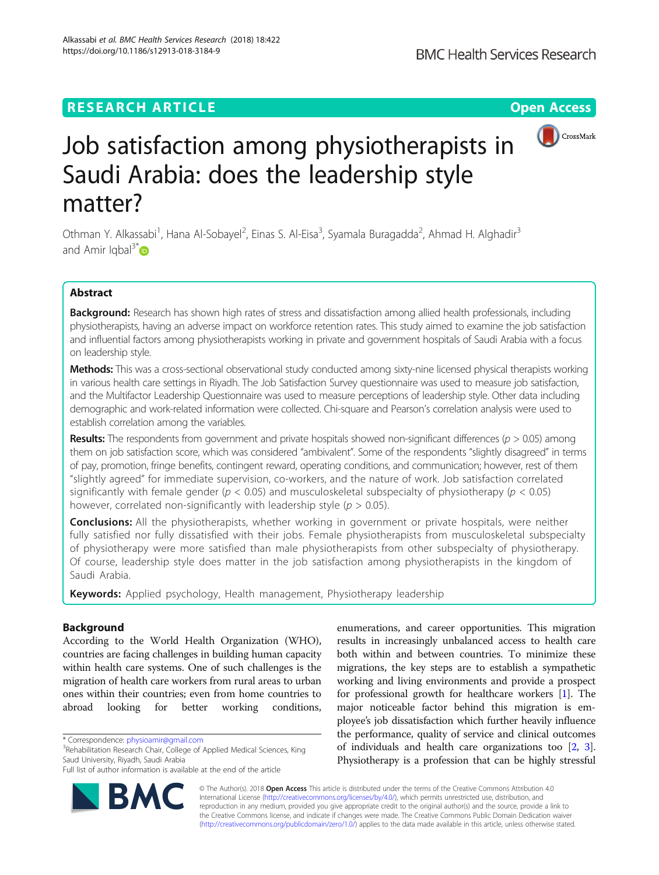## **RESEARCH ARTICLE Example 2014 12:30 The Contract of Contract ACCESS**



# Job satisfaction among physiotherapists in Saudi Arabia: does the leadership style matter?

Othman Y. Alkassabi<sup>1</sup>, Hana Al-Sobayel<sup>2</sup>, Einas S. Al-Eisa<sup>3</sup>, Syamala Buragadda<sup>2</sup>, Ahmad H. Alghadir<sup>3</sup> and Amir Iqbal<sup>3\*</sup> $\bullet$ 

## Abstract

Background: Research has shown high rates of stress and dissatisfaction among allied health professionals, including physiotherapists, having an adverse impact on workforce retention rates. This study aimed to examine the job satisfaction and influential factors among physiotherapists working in private and government hospitals of Saudi Arabia with a focus on leadership style.

Methods: This was a cross-sectional observational study conducted among sixty-nine licensed physical therapists working in various health care settings in Riyadh. The Job Satisfaction Survey questionnaire was used to measure job satisfaction, and the Multifactor Leadership Questionnaire was used to measure perceptions of leadership style. Other data including demographic and work-related information were collected. Chi-square and Pearson's correlation analysis were used to establish correlation among the variables.

Results: The respondents from government and private hospitals showed non-significant differences ( $p > 0.05$ ) among them on job satisfaction score, which was considered "ambivalent". Some of the respondents "slightly disagreed" in terms of pay, promotion, fringe benefits, contingent reward, operating conditions, and communication; however, rest of them "slightly agreed" for immediate supervision, co-workers, and the nature of work. Job satisfaction correlated significantly with female gender ( $p < 0.05$ ) and musculoskeletal subspecialty of physiotherapy ( $p < 0.05$ ) however, correlated non-significantly with leadership style ( $p > 0.05$ ).

**Conclusions:** All the physiotherapists, whether working in government or private hospitals, were neither fully satisfied nor fully dissatisfied with their jobs. Female physiotherapists from musculoskeletal subspecialty of physiotherapy were more satisfied than male physiotherapists from other subspecialty of physiotherapy. Of course, leadership style does matter in the job satisfaction among physiotherapists in the kingdom of Saudi Arabia.

Keywords: Applied psychology, Health management, Physiotherapy leadership

## Background

According to the World Health Organization (WHO), countries are facing challenges in building human capacity within health care systems. One of such challenges is the migration of health care workers from rural areas to urban ones within their countries; even from home countries to abroad looking for better working conditions,

<sup>3</sup>Rehabilitation Research Chair, College of Applied Medical Sciences, King Saud University, Riyadh, Saudi Arabia

Full list of author information is available at the end of the article



enumerations, and career opportunities. This migration results in increasingly unbalanced access to health care both within and between countries. To minimize these migrations, the key steps are to establish a sympathetic working and living environments and provide a prospect for professional growth for healthcare workers [\[1\]](#page-7-0). The major noticeable factor behind this migration is employee's job dissatisfaction which further heavily influence the performance, quality of service and clinical outcomes of individuals and health care organizations too [[2](#page-7-0), [3](#page-7-0)]. Physiotherapy is a profession that can be highly stressful

© The Author(s). 2018 Open Access This article is distributed under the terms of the Creative Commons Attribution 4.0 International License [\(http://creativecommons.org/licenses/by/4.0/](http://creativecommons.org/licenses/by/4.0/)), which permits unrestricted use, distribution, and reproduction in any medium, provided you give appropriate credit to the original author(s) and the source, provide a link to the Creative Commons license, and indicate if changes were made. The Creative Commons Public Domain Dedication waiver [\(http://creativecommons.org/publicdomain/zero/1.0/](http://creativecommons.org/publicdomain/zero/1.0/)) applies to the data made available in this article, unless otherwise stated.

<sup>\*</sup> Correspondence: [physioamir@gmail.com](mailto:physioamir@gmail.com) <sup>3</sup>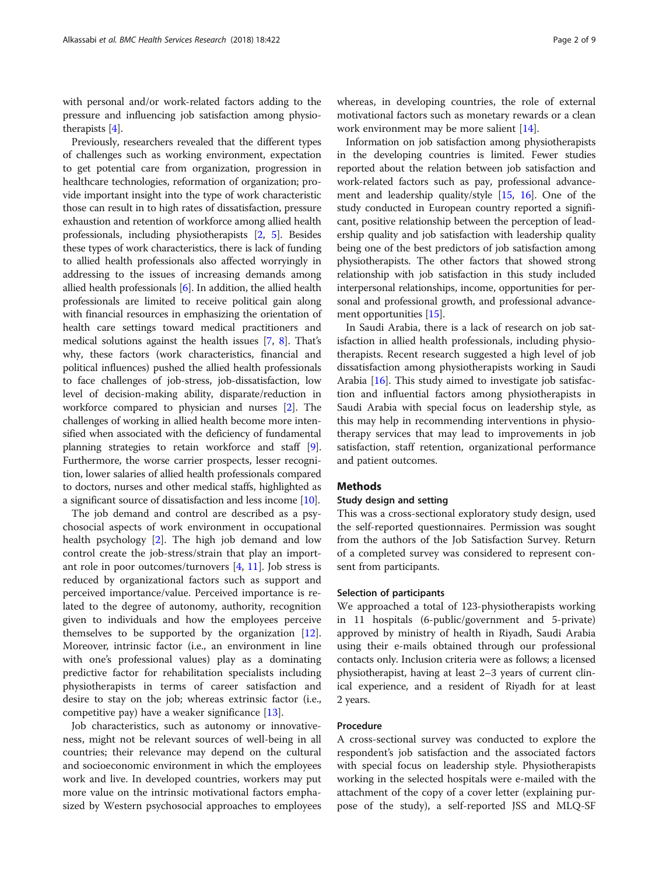with personal and/or work-related factors adding to the pressure and influencing job satisfaction among physiotherapists [\[4\]](#page-7-0).

Previously, researchers revealed that the different types of challenges such as working environment, expectation to get potential care from organization, progression in healthcare technologies, reformation of organization; provide important insight into the type of work characteristic those can result in to high rates of dissatisfaction, pressure exhaustion and retention of workforce among allied health professionals, including physiotherapists [[2,](#page-7-0) [5](#page-7-0)]. Besides these types of work characteristics, there is lack of funding to allied health professionals also affected worryingly in addressing to the issues of increasing demands among allied health professionals  $[6]$ . In addition, the allied health professionals are limited to receive political gain along with financial resources in emphasizing the orientation of health care settings toward medical practitioners and medical solutions against the health issues [\[7,](#page-7-0) [8](#page-7-0)]. That's why, these factors (work characteristics, financial and political influences) pushed the allied health professionals to face challenges of job-stress, job-dissatisfaction, low level of decision-making ability, disparate/reduction in workforce compared to physician and nurses [\[2\]](#page-7-0). The challenges of working in allied health become more intensified when associated with the deficiency of fundamental planning strategies to retain workforce and staff [[9](#page-7-0)]. Furthermore, the worse carrier prospects, lesser recognition, lower salaries of allied health professionals compared to doctors, nurses and other medical staffs, highlighted as a significant source of dissatisfaction and less income [[10](#page-7-0)].

The job demand and control are described as a psychosocial aspects of work environment in occupational health psychology [\[2](#page-7-0)]. The high job demand and low control create the job-stress/strain that play an important role in poor outcomes/turnovers [[4](#page-7-0), [11\]](#page-7-0). Job stress is reduced by organizational factors such as support and perceived importance/value. Perceived importance is related to the degree of autonomy, authority, recognition given to individuals and how the employees perceive themselves to be supported by the organization [\[12](#page-8-0)]. Moreover, intrinsic factor (i.e., an environment in line with one's professional values) play as a dominating predictive factor for rehabilitation specialists including physiotherapists in terms of career satisfaction and desire to stay on the job; whereas extrinsic factor (i.e., competitive pay) have a weaker significance [\[13](#page-8-0)].

Job characteristics, such as autonomy or innovativeness, might not be relevant sources of well-being in all countries; their relevance may depend on the cultural and socioeconomic environment in which the employees work and live. In developed countries, workers may put more value on the intrinsic motivational factors emphasized by Western psychosocial approaches to employees whereas, in developing countries, the role of external motivational factors such as monetary rewards or a clean work environment may be more salient [\[14](#page-8-0)].

Information on job satisfaction among physiotherapists in the developing countries is limited. Fewer studies reported about the relation between job satisfaction and work-related factors such as pay, professional advancement and leadership quality/style [\[15](#page-8-0), [16\]](#page-8-0). One of the study conducted in European country reported a significant, positive relationship between the perception of leadership quality and job satisfaction with leadership quality being one of the best predictors of job satisfaction among physiotherapists. The other factors that showed strong relationship with job satisfaction in this study included interpersonal relationships, income, opportunities for personal and professional growth, and professional advancement opportunities [\[15](#page-8-0)].

In Saudi Arabia, there is a lack of research on job satisfaction in allied health professionals, including physiotherapists. Recent research suggested a high level of job dissatisfaction among physiotherapists working in Saudi Arabia [\[16](#page-8-0)]. This study aimed to investigate job satisfaction and influential factors among physiotherapists in Saudi Arabia with special focus on leadership style, as this may help in recommending interventions in physiotherapy services that may lead to improvements in job satisfaction, staff retention, organizational performance and patient outcomes.

## Methods

#### Study design and setting

This was a cross-sectional exploratory study design, used the self-reported questionnaires. Permission was sought from the authors of the Job Satisfaction Survey. Return of a completed survey was considered to represent consent from participants.

#### Selection of participants

We approached a total of 123-physiotherapists working in 11 hospitals (6-public/government and 5-private) approved by ministry of health in Riyadh, Saudi Arabia using their e-mails obtained through our professional contacts only. Inclusion criteria were as follows; a licensed physiotherapist, having at least 2–3 years of current clinical experience, and a resident of Riyadh for at least 2 years.

## Procedure

A cross-sectional survey was conducted to explore the respondent's job satisfaction and the associated factors with special focus on leadership style. Physiotherapists working in the selected hospitals were e-mailed with the attachment of the copy of a cover letter (explaining purpose of the study), a self-reported JSS and MLQ-SF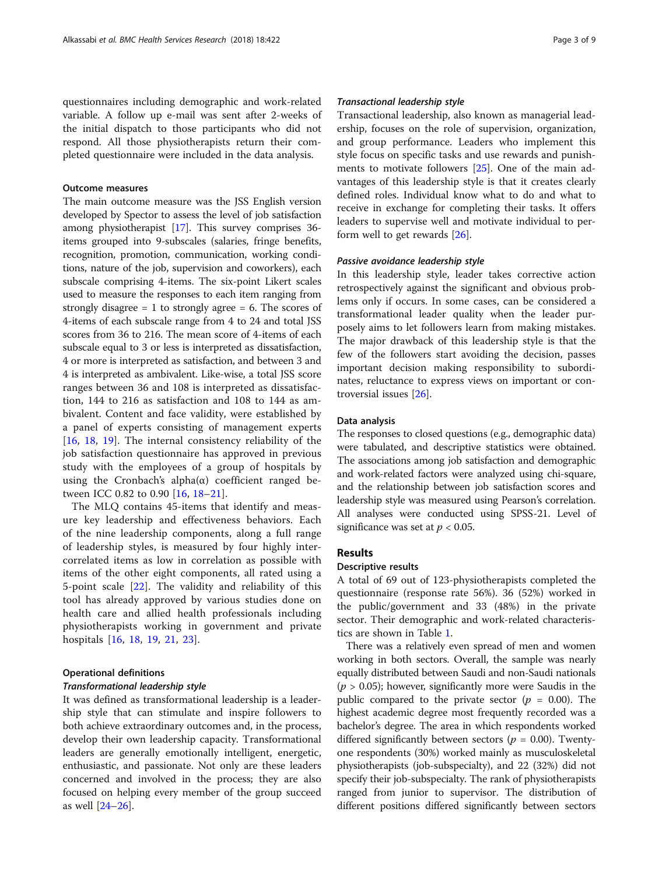questionnaires including demographic and work-related variable. A follow up e-mail was sent after 2-weeks of the initial dispatch to those participants who did not respond. All those physiotherapists return their completed questionnaire were included in the data analysis.

#### Outcome measures

The main outcome measure was the JSS English version developed by Spector to assess the level of job satisfaction among physiotherapist [\[17\]](#page-8-0). This survey comprises 36 items grouped into 9-subscales (salaries, fringe benefits, recognition, promotion, communication, working conditions, nature of the job, supervision and coworkers), each subscale comprising 4-items. The six-point Likert scales used to measure the responses to each item ranging from strongly disagree  $= 1$  to strongly agree  $= 6$ . The scores of 4-items of each subscale range from 4 to 24 and total JSS scores from 36 to 216. The mean score of 4-items of each subscale equal to 3 or less is interpreted as dissatisfaction, 4 or more is interpreted as satisfaction, and between 3 and 4 is interpreted as ambivalent. Like-wise, a total JSS score ranges between 36 and 108 is interpreted as dissatisfaction, 144 to 216 as satisfaction and 108 to 144 as ambivalent. Content and face validity, were established by a panel of experts consisting of management experts [[16,](#page-8-0) [18](#page-8-0), [19\]](#page-8-0). The internal consistency reliability of the job satisfaction questionnaire has approved in previous study with the employees of a group of hospitals by using the Cronbach's alpha $(\alpha)$  coefficient ranged between ICC 0.82 to 0.90 [\[16](#page-8-0), [18](#page-8-0)–[21](#page-8-0)].

The MLQ contains 45-items that identify and measure key leadership and effectiveness behaviors. Each of the nine leadership components, along a full range of leadership styles, is measured by four highly intercorrelated items as low in correlation as possible with items of the other eight components, all rated using a 5-point scale [[22\]](#page-8-0). The validity and reliability of this tool has already approved by various studies done on health care and allied health professionals including physiotherapists working in government and private hospitals [[16,](#page-8-0) [18,](#page-8-0) [19,](#page-8-0) [21](#page-8-0), [23](#page-8-0)].

#### Operational definitions

## Transformational leadership style

It was defined as transformational leadership is a leadership style that can stimulate and inspire followers to both achieve extraordinary outcomes and, in the process, develop their own leadership capacity. Transformational leaders are generally emotionally intelligent, energetic, enthusiastic, and passionate. Not only are these leaders concerned and involved in the process; they are also focused on helping every member of the group succeed as well [\[24](#page-8-0)–[26\]](#page-8-0).

## Transactional leadership style

Transactional leadership, also known as managerial leadership, focuses on the role of supervision, organization, and group performance. Leaders who implement this style focus on specific tasks and use rewards and punishments to motivate followers [\[25](#page-8-0)]. One of the main advantages of this leadership style is that it creates clearly defined roles. Individual know what to do and what to receive in exchange for completing their tasks. It offers leaders to supervise well and motivate individual to perform well to get rewards [\[26](#page-8-0)].

#### Passive avoidance leadership style

In this leadership style, leader takes corrective action retrospectively against the significant and obvious problems only if occurs. In some cases, can be considered a transformational leader quality when the leader purposely aims to let followers learn from making mistakes. The major drawback of this leadership style is that the few of the followers start avoiding the decision, passes important decision making responsibility to subordinates, reluctance to express views on important or controversial issues [\[26](#page-8-0)].

## Data analysis

The responses to closed questions (e.g., demographic data) were tabulated, and descriptive statistics were obtained. The associations among job satisfaction and demographic and work-related factors were analyzed using chi-square, and the relationship between job satisfaction scores and leadership style was measured using Pearson's correlation. All analyses were conducted using SPSS-21. Level of significance was set at  $p < 0.05$ .

#### Results

### Descriptive results

A total of 69 out of 123-physiotherapists completed the questionnaire (response rate 56%). 36 (52%) worked in the public/government and 33 (48%) in the private sector. Their demographic and work-related characteristics are shown in Table [1](#page-3-0).

There was a relatively even spread of men and women working in both sectors. Overall, the sample was nearly equally distributed between Saudi and non-Saudi nationals  $(p > 0.05)$ ; however, significantly more were Saudis in the public compared to the private sector ( $p = 0.00$ ). The highest academic degree most frequently recorded was a bachelor's degree. The area in which respondents worked differed significantly between sectors ( $p = 0.00$ ). Twentyone respondents (30%) worked mainly as musculoskeletal physiotherapists (job-subspecialty), and 22 (32%) did not specify their job-subspecialty. The rank of physiotherapists ranged from junior to supervisor. The distribution of different positions differed significantly between sectors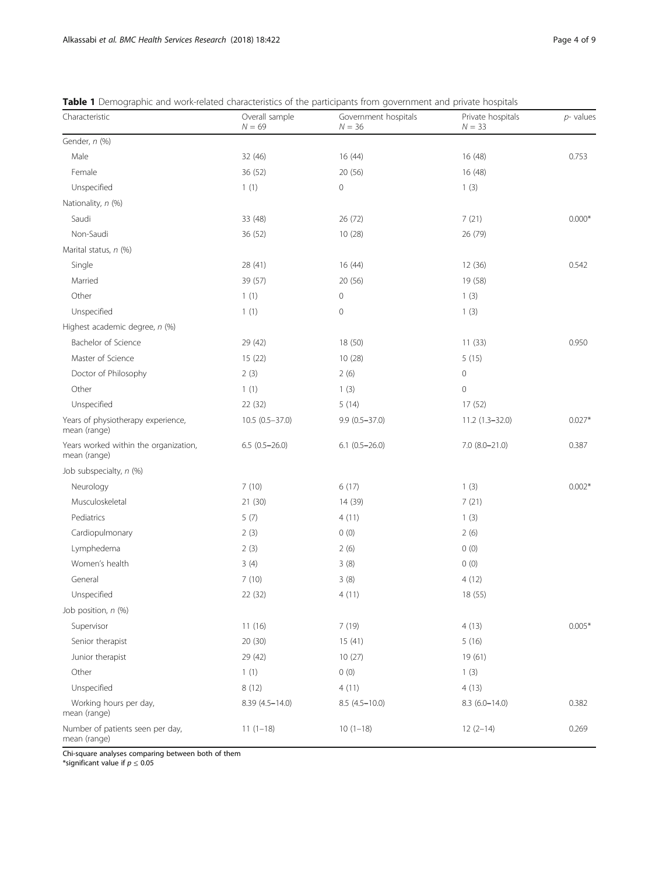| Characteristic                                        | Overall sample<br>$N = 69$ | Government hospitals<br>$N = 36$ | Private hospitals<br>$N = 33$ | $p$ - values |  |
|-------------------------------------------------------|----------------------------|----------------------------------|-------------------------------|--------------|--|
| Gender, n (%)                                         |                            |                                  |                               |              |  |
| Male                                                  | 32 (46)                    | 16(44)                           | 16 (48)                       | 0.753        |  |
| Female                                                | 36 (52)                    | 20 (56)                          | 16 (48)                       |              |  |
| Unspecified                                           | 1(1)                       | 0                                | 1(3)                          |              |  |
| Nationality, n (%)                                    |                            |                                  |                               |              |  |
| Saudi                                                 | 33 (48)                    | 26 (72)                          | 7(21)                         | $0.000*$     |  |
| Non-Saudi                                             | 36 (52)                    | 10(28)                           | 26 (79)                       |              |  |
| Marital status, n (%)                                 |                            |                                  |                               |              |  |
| Single                                                | 28 (41)                    | 16 (44)                          | 12 (36)                       | 0.542        |  |
| Married                                               | 39 (57)                    | 20(56)                           | 19 (58)                       |              |  |
| Other                                                 | 1(1)                       | $\mathbf 0$                      | 1(3)                          |              |  |
| Unspecified                                           | 1(1)                       | $\mathbf 0$                      | 1(3)                          |              |  |
| Highest academic degree, n (%)                        |                            |                                  |                               |              |  |
| Bachelor of Science                                   | 29 (42)                    | 18 (50)                          | 11(33)                        | 0.950        |  |
| Master of Science                                     | 15 (22)                    | 10 (28)                          | 5(15)                         |              |  |
| Doctor of Philosophy                                  | 2(3)                       | 2(6)                             | $\mathbb O$                   |              |  |
| Other                                                 | 1(1)                       | 1(3)                             | $\circ$                       |              |  |
| Unspecified                                           | 22 (32)                    | 5(14)                            | 17 (52)                       |              |  |
| Years of physiotherapy experience,<br>mean (range)    | 10.5 (0.5-37.0)            | $9.9(0.5 - 37.0)$                | 11.2 (1.3-32.0)               | $0.027*$     |  |
| Years worked within the organization,<br>mean (range) | $6.5(0.5-26.0)$            | $6.1(0.5-26.0)$                  | $7.0$ $(8.0 - 21.0)$          | 0.387        |  |
| Job subspecialty, n (%)                               |                            |                                  |                               |              |  |
| Neurology                                             | 7(10)                      | 6(17)                            | 1(3)                          | $0.002*$     |  |
| Musculoskeletal                                       | 21 (30)                    | 14 (39)                          | 7(21)                         |              |  |
| Pediatrics                                            | 5(7)                       | 4(11)                            | 1(3)                          |              |  |
| Cardiopulmonary                                       | 2(3)                       | 0(0)                             | 2(6)                          |              |  |
| Lymphedema                                            | 2(3)                       | 2(6)                             | 0(0)                          |              |  |
| Women's health                                        | 3(4)                       | 3(8)                             | 0(0)                          |              |  |
| General                                               | 7(10)                      | 3(8)                             | 4(12)                         |              |  |
| Unspecified                                           | 22 (32)                    | 4(11)                            | 18 (55)                       |              |  |
| Job position, n (%)                                   |                            |                                  |                               |              |  |
| Supervisor                                            | 11(16)                     | 7 (19)                           | 4(13)                         | $0.005*$     |  |
| Senior therapist                                      | 20 (30)                    | 15(41)                           | 5(16)                         |              |  |
| Junior therapist                                      | 29 (42)                    | 10(27)                           | 19 (61)                       |              |  |
| Other                                                 | 1(1)                       | 0(0)                             | 1(3)                          |              |  |
| Unspecified                                           | 8(12)                      | 4(11)                            | 4(13)                         |              |  |
| Working hours per day,<br>mean (range)                | 8.39 (4.5-14.0)            | $8.5(4.5-10.0)$                  | 8.3 (6.0-14.0)                | 0.382        |  |
| Number of patients seen per day,<br>mean (range)      | $11(1-18)$                 | $10(1-18)$                       | $12(2-14)$                    | 0.269        |  |

<span id="page-3-0"></span>Table 1 Demographic and work-related characteristics of the participants from government and private hospitals

Chi-square analyses comparing between both of them

 $^*$ significant value if  $p\leq 0.05$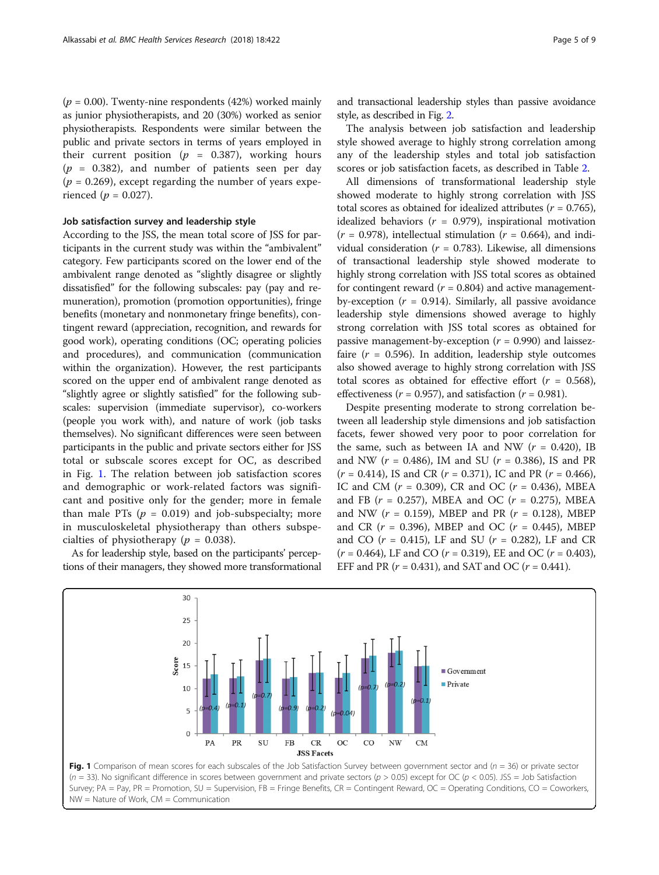( $p = 0.00$ ). Twenty-nine respondents (42%) worked mainly as junior physiotherapists, and 20 (30%) worked as senior physiotherapists. Respondents were similar between the public and private sectors in terms of years employed in their current position ( $p = 0.387$ ), working hours  $(p = 0.382)$ , and number of patients seen per day  $(p = 0.269)$ , except regarding the number of years experienced ( $p = 0.027$ ).

## Job satisfaction survey and leadership style

According to the JSS, the mean total score of JSS for participants in the current study was within the "ambivalent" category. Few participants scored on the lower end of the ambivalent range denoted as "slightly disagree or slightly dissatisfied" for the following subscales: pay (pay and remuneration), promotion (promotion opportunities), fringe benefits (monetary and nonmonetary fringe benefits), contingent reward (appreciation, recognition, and rewards for good work), operating conditions (OC; operating policies and procedures), and communication (communication within the organization). However, the rest participants scored on the upper end of ambivalent range denoted as "slightly agree or slightly satisfied" for the following subscales: supervision (immediate supervisor), co-workers (people you work with), and nature of work (job tasks themselves). No significant differences were seen between participants in the public and private sectors either for JSS total or subscale scores except for OC, as described in Fig. 1. The relation between job satisfaction scores and demographic or work-related factors was significant and positive only for the gender; more in female than male PTs ( $p = 0.019$ ) and job-subspecialty; more in musculoskeletal physiotherapy than others subspecialties of physiotherapy ( $p = 0.038$ ).

As for leadership style, based on the participants' perceptions of their managers, they showed more transformational and transactional leadership styles than passive avoidance style, as described in Fig. [2](#page-5-0).

The analysis between job satisfaction and leadership style showed average to highly strong correlation among any of the leadership styles and total job satisfaction scores or job satisfaction facets, as described in Table [2.](#page-6-0)

All dimensions of transformational leadership style showed moderate to highly strong correlation with JSS total scores as obtained for idealized attributes ( $r = 0.765$ ), idealized behaviors ( $r = 0.979$ ), inspirational motivation  $(r = 0.978)$ , intellectual stimulation  $(r = 0.664)$ , and individual consideration ( $r = 0.783$ ). Likewise, all dimensions of transactional leadership style showed moderate to highly strong correlation with JSS total scores as obtained for contingent reward ( $r = 0.804$ ) and active managementby-exception ( $r = 0.914$ ). Similarly, all passive avoidance leadership style dimensions showed average to highly strong correlation with JSS total scores as obtained for passive management-by-exception  $(r = 0.990)$  and laissezfaire ( $r = 0.596$ ). In addition, leadership style outcomes also showed average to highly strong correlation with JSS total scores as obtained for effective effort  $(r = 0.568)$ , effectiveness ( $r = 0.957$ ), and satisfaction ( $r = 0.981$ ).

Despite presenting moderate to strong correlation between all leadership style dimensions and job satisfaction facets, fewer showed very poor to poor correlation for the same, such as between IA and NW ( $r = 0.420$ ), IB and NW ( $r = 0.486$ ), IM and SU ( $r = 0.386$ ), IS and PR  $(r = 0.414)$ , IS and CR  $(r = 0.371)$ , IC and PR  $(r = 0.466)$ , IC and CM  $(r = 0.309)$ , CR and OC  $(r = 0.436)$ , MBEA and FB ( $r = 0.257$ ), MBEA and OC ( $r = 0.275$ ), MBEA and NW ( $r = 0.159$ ), MBEP and PR ( $r = 0.128$ ), MBEP and CR ( $r = 0.396$ ), MBEP and OC ( $r = 0.445$ ), MBEP and CO  $(r = 0.415)$ , LF and SU  $(r = 0.282)$ , LF and CR  $(r = 0.464)$ , LF and CO  $(r = 0.319)$ , EE and OC  $(r = 0.403)$ , EFF and PR ( $r = 0.431$ ), and SAT and OC ( $r = 0.441$ ).



 $NW = Nature of Work, CM = Communication$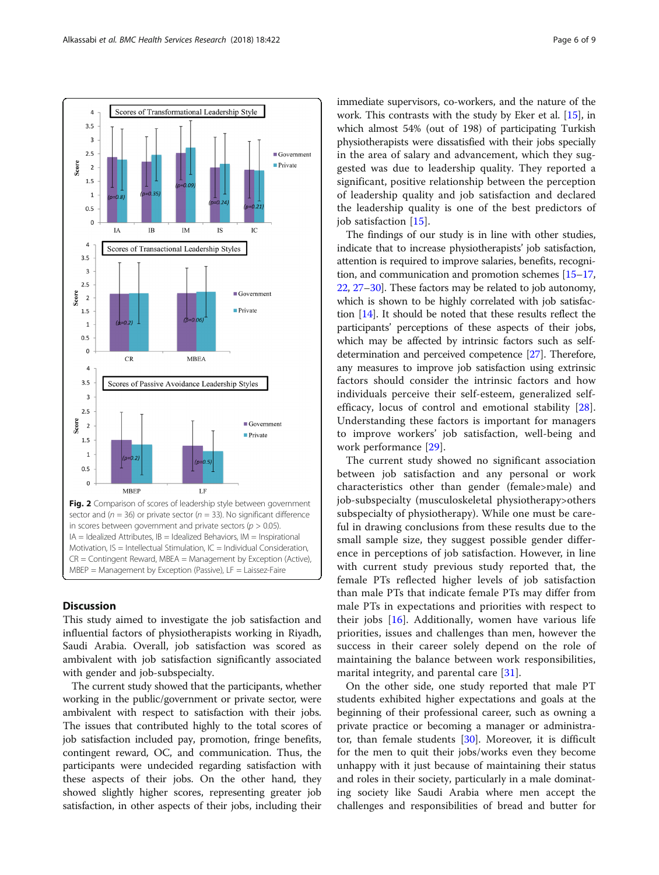<span id="page-5-0"></span>

## **Discussion**

This study aimed to investigate the job satisfaction and influential factors of physiotherapists working in Riyadh, Saudi Arabia. Overall, job satisfaction was scored as ambivalent with job satisfaction significantly associated with gender and job-subspecialty.

The current study showed that the participants, whether working in the public/government or private sector, were ambivalent with respect to satisfaction with their jobs. The issues that contributed highly to the total scores of job satisfaction included pay, promotion, fringe benefits, contingent reward, OC, and communication. Thus, the participants were undecided regarding satisfaction with these aspects of their jobs. On the other hand, they showed slightly higher scores, representing greater job satisfaction, in other aspects of their jobs, including their immediate supervisors, co-workers, and the nature of the work. This contrasts with the study by Eker et al. [[15](#page-8-0)], in which almost 54% (out of 198) of participating Turkish physiotherapists were dissatisfied with their jobs specially in the area of salary and advancement, which they suggested was due to leadership quality. They reported a significant, positive relationship between the perception of leadership quality and job satisfaction and declared the leadership quality is one of the best predictors of job satisfaction [\[15\]](#page-8-0).

The findings of our study is in line with other studies, indicate that to increase physiotherapists' job satisfaction, attention is required to improve salaries, benefits, recognition, and communication and promotion schemes [\[15](#page-8-0)–[17](#page-8-0), [22](#page-8-0), [27](#page-8-0)–[30](#page-8-0)]. These factors may be related to job autonomy, which is shown to be highly correlated with job satisfaction [\[14\]](#page-8-0). It should be noted that these results reflect the participants' perceptions of these aspects of their jobs, which may be affected by intrinsic factors such as selfdetermination and perceived competence [[27](#page-8-0)]. Therefore, any measures to improve job satisfaction using extrinsic factors should consider the intrinsic factors and how individuals perceive their self-esteem, generalized selfefficacy, locus of control and emotional stability [\[28](#page-8-0)]. Understanding these factors is important for managers to improve workers' job satisfaction, well-being and work performance [\[29\]](#page-8-0).

The current study showed no significant association between job satisfaction and any personal or work characteristics other than gender (female>male) and job-subspecialty (musculoskeletal physiotherapy>others subspecialty of physiotherapy). While one must be careful in drawing conclusions from these results due to the small sample size, they suggest possible gender difference in perceptions of job satisfaction. However, in line with current study previous study reported that, the female PTs reflected higher levels of job satisfaction than male PTs that indicate female PTs may differ from male PTs in expectations and priorities with respect to their jobs [[16\]](#page-8-0). Additionally, women have various life priorities, issues and challenges than men, however the success in their career solely depend on the role of maintaining the balance between work responsibilities, marital integrity, and parental care [[31\]](#page-8-0).

On the other side, one study reported that male PT students exhibited higher expectations and goals at the beginning of their professional career, such as owning a private practice or becoming a manager or administrator, than female students [[30](#page-8-0)]. Moreover, it is difficult for the men to quit their jobs/works even they become unhappy with it just because of maintaining their status and roles in their society, particularly in a male dominating society like Saudi Arabia where men accept the challenges and responsibilities of bread and butter for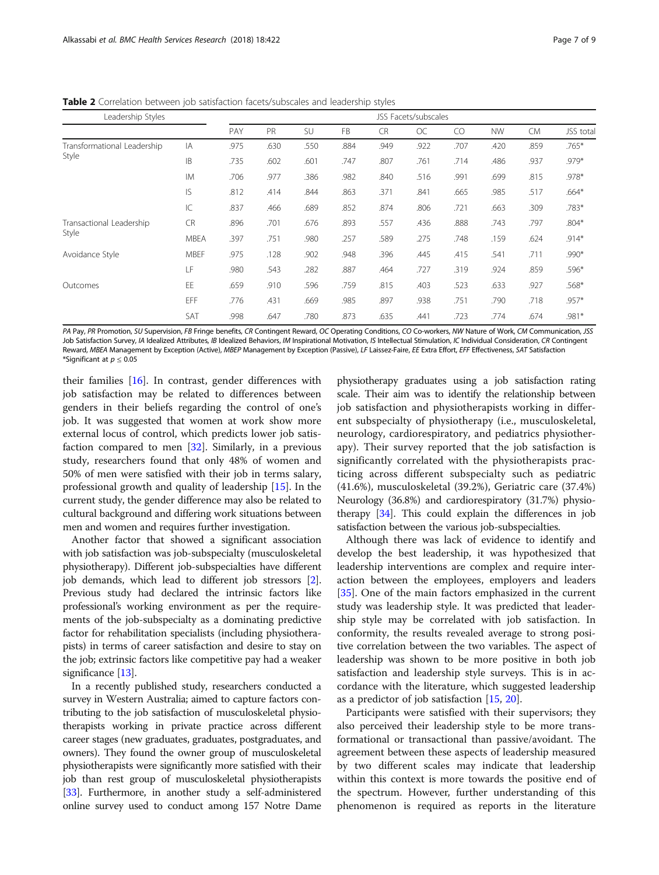<span id="page-6-0"></span>Table 2 Correlation between job satisfaction facets/subscales and leadership styles

| Leadership Styles                    |             | JSS Facets/subscales |      |      |           |           |           |      |           |           |          |
|--------------------------------------|-------------|----------------------|------|------|-----------|-----------|-----------|------|-----------|-----------|----------|
|                                      |             | PAY                  | PR   | SU   | <b>FB</b> | <b>CR</b> | <b>OC</b> | CO   | <b>NW</b> | <b>CM</b> | JSS tota |
| Transformational Leadership<br>Style | IA          | .975                 | .630 | .550 | .884      | .949      | .922      | .707 | .420      | .859      | $.765*$  |
|                                      | <b>IB</b>   | .735                 | .602 | .601 | .747      | .807      | .761      | .714 | .486      | .937      | $.979*$  |
|                                      | <b>IM</b>   | .706                 | .977 | .386 | .982      | .840      | .516      | .991 | .699      | .815      | .978*    |
|                                      | <b>IS</b>   | .812                 | .414 | .844 | .863      | .371      | .841      | .665 | .985      | .517      | $.664*$  |
|                                      | IC          | .837                 | .466 | .689 | .852      | .874      | .806      | .721 | .663      | .309      | .783*    |
| Transactional Leadership<br>Style    | <b>CR</b>   | .896                 | .701 | .676 | .893      | .557      | .436      | .888 | .743      | .797      | $.804*$  |
|                                      | <b>MBEA</b> | .397                 | .751 | .980 | .257      | .589      | .275      | .748 | .159      | .624      | $.914*$  |
| Avoidance Style                      | <b>MBEF</b> | .975                 | .128 | .902 | .948      | .396      | .445      | .415 | .541      | .711      | $.990*$  |
|                                      | LF          | .980                 | .543 | .282 | .887      | .464      | .727      | .319 | .924      | .859      | $.596*$  |
| Outcomes                             | EE          | .659                 | .910 | .596 | .759      | .815      | .403      | .523 | .633      | .927      | $.568*$  |
|                                      | EFF         | .776                 | .431 | .669 | .985      | .897      | .938      | .751 | .790      | .718      | $.957*$  |
|                                      | SAT         | .998                 | .647 | .780 | .873      | .635      | .441      | .723 | .774      | .674      | .981*    |

PA Pay, PR Promotion, SU Supervision, FB Fringe benefits, CR Contingent Reward, OC Operating Conditions, CO Co-workers, NW Nature of Work, CM Communication, JSS Job Satisfaction Survey, IA Idealized Attributes, IB Idealized Behaviors, IM Inspirational Motivation, IS Intellectual Stimulation, IC Individual Consideration, CR Contingent Reward, MBEA Management by Exception (Active), MBEP Management by Exception (Passive), LF Laissez-Faire, EE Extra Effort, EFF Effectiveness, SAT Satisfaction \*Significant at  $p < 0.05$ 

their families [\[16](#page-8-0)]. In contrast, gender differences with job satisfaction may be related to differences between genders in their beliefs regarding the control of one's job. It was suggested that women at work show more external locus of control, which predicts lower job satisfaction compared to men [[32](#page-8-0)]. Similarly, in a previous study, researchers found that only 48% of women and 50% of men were satisfied with their job in terms salary, professional growth and quality of leadership [\[15](#page-8-0)]. In the current study, the gender difference may also be related to cultural background and differing work situations between men and women and requires further investigation.

Another factor that showed a significant association with job satisfaction was job-subspecialty (musculoskeletal physiotherapy). Different job-subspecialties have different job demands, which lead to different job stressors [[2](#page-7-0)]. Previous study had declared the intrinsic factors like professional's working environment as per the requirements of the job-subspecialty as a dominating predictive factor for rehabilitation specialists (including physiotherapists) in terms of career satisfaction and desire to stay on the job; extrinsic factors like competitive pay had a weaker significance [[13](#page-8-0)].

In a recently published study, researchers conducted a survey in Western Australia; aimed to capture factors contributing to the job satisfaction of musculoskeletal physiotherapists working in private practice across different career stages (new graduates, graduates, postgraduates, and owners). They found the owner group of musculoskeletal physiotherapists were significantly more satisfied with their job than rest group of musculoskeletal physiotherapists [[33](#page-8-0)]. Furthermore, in another study a self-administered online survey used to conduct among 157 Notre Dame

physiotherapy graduates using a job satisfaction rating scale. Their aim was to identify the relationship between job satisfaction and physiotherapists working in different subspecialty of physiotherapy (i.e., musculoskeletal, neurology, cardiorespiratory, and pediatrics physiotherapy). Their survey reported that the job satisfaction is significantly correlated with the physiotherapists practicing across different subspecialty such as pediatric (41.6%), musculoskeletal (39.2%), Geriatric care (37.4%) Neurology (36.8%) and cardiorespiratory (31.7%) physiotherapy [\[34\]](#page-8-0). This could explain the differences in job satisfaction between the various job-subspecialties.

Although there was lack of evidence to identify and develop the best leadership, it was hypothesized that leadership interventions are complex and require interaction between the employees, employers and leaders [[35\]](#page-8-0). One of the main factors emphasized in the current study was leadership style. It was predicted that leadership style may be correlated with job satisfaction. In conformity, the results revealed average to strong positive correlation between the two variables. The aspect of leadership was shown to be more positive in both job satisfaction and leadership style surveys. This is in accordance with the literature, which suggested leadership as a predictor of job satisfaction [\[15,](#page-8-0) [20\]](#page-8-0).

Participants were satisfied with their supervisors; they also perceived their leadership style to be more transformational or transactional than passive/avoidant. The agreement between these aspects of leadership measured by two different scales may indicate that leadership within this context is more towards the positive end of the spectrum. However, further understanding of this phenomenon is required as reports in the literature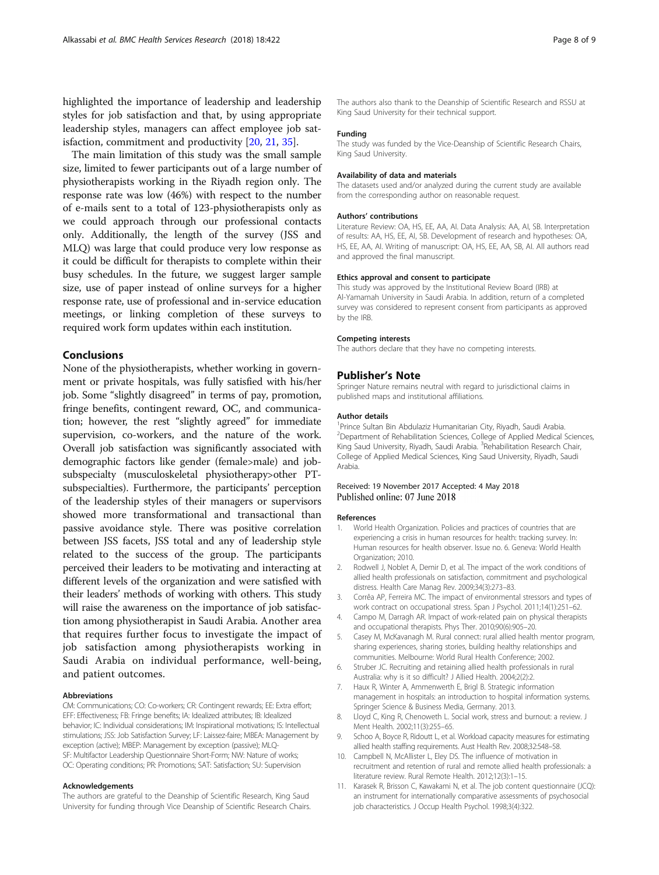<span id="page-7-0"></span>highlighted the importance of leadership and leadership styles for job satisfaction and that, by using appropriate leadership styles, managers can affect employee job satisfaction, commitment and productivity [\[20,](#page-8-0) [21,](#page-8-0) [35\]](#page-8-0).

The main limitation of this study was the small sample size, limited to fewer participants out of a large number of physiotherapists working in the Riyadh region only. The response rate was low (46%) with respect to the number of e-mails sent to a total of 123-physiotherapists only as we could approach through our professional contacts only. Additionally, the length of the survey (JSS and MLQ) was large that could produce very low response as it could be difficult for therapists to complete within their busy schedules. In the future, we suggest larger sample size, use of paper instead of online surveys for a higher response rate, use of professional and in-service education meetings, or linking completion of these surveys to required work form updates within each institution.

## Conclusions

None of the physiotherapists, whether working in government or private hospitals, was fully satisfied with his/her job. Some "slightly disagreed" in terms of pay, promotion, fringe benefits, contingent reward, OC, and communication; however, the rest "slightly agreed" for immediate supervision, co-workers, and the nature of the work. Overall job satisfaction was significantly associated with demographic factors like gender (female>male) and jobsubspecialty (musculoskeletal physiotherapy>other PTsubspecialties). Furthermore, the participants' perception of the leadership styles of their managers or supervisors showed more transformational and transactional than passive avoidance style. There was positive correlation between JSS facets, JSS total and any of leadership style related to the success of the group. The participants perceived their leaders to be motivating and interacting at different levels of the organization and were satisfied with their leaders' methods of working with others. This study will raise the awareness on the importance of job satisfaction among physiotherapist in Saudi Arabia. Another area that requires further focus to investigate the impact of job satisfaction among physiotherapists working in Saudi Arabia on individual performance, well-being, and patient outcomes.

#### Abbreviations

CM: Communications; CO: Co-workers; CR: Contingent rewards; EE: Extra effort; EFF: Effectiveness; FB: Fringe benefits; IA: Idealized attributes; IB: Idealized behavior; IC: Individual considerations; IM: Inspirational motivations; IS: Intellectual stimulations; JSS: Job Satisfaction Survey; LF: Laissez-faire; MBEA: Management by exception (active); MBEP: Management by exception (passive); MLQ-SF: Multifactor Leadership Questionnaire Short-Form; NW: Nature of works; OC: Operating conditions; PR: Promotions; SAT: Satisfaction; SU: Supervision

#### Acknowledgements

The authors are grateful to the Deanship of Scientific Research, King Saud University for funding through Vice Deanship of Scientific Research Chairs.

The authors also thank to the Deanship of Scientific Research and RSSU at King Saud University for their technical support.

#### Funding

The study was funded by the Vice-Deanship of Scientific Research Chairs, King Saud University.

#### Availability of data and materials

The datasets used and/or analyzed during the current study are available from the corresponding author on reasonable request.

#### Authors' contributions

Literature Review: OA, HS, EE, AA, AI. Data Analysis: AA, AI, SB. Interpretation of results: AA, HS, EE, AI, SB. Development of research and hypotheses: OA, HS, EE, AA, AI. Writing of manuscript: OA, HS, EE, AA, SB, AI. All authors read and approved the final manuscript.

#### Ethics approval and consent to participate

This study was approved by the Institutional Review Board (IRB) at Al-Yamamah University in Saudi Arabia. In addition, return of a completed survey was considered to represent consent from participants as approved by the IRB.

#### Competing interests

The authors declare that they have no competing interests.

#### Publisher's Note

Springer Nature remains neutral with regard to jurisdictional claims in published maps and institutional affiliations.

#### Author details

<sup>1</sup> Prince Sultan Bin Abdulaziz Humanitarian City, Riyadh, Saudi Arabia <sup>2</sup>Department of Rehabilitation Sciences, College of Applied Medical Sciences, King Saud University, Riyadh, Saudi Arabia. <sup>3</sup>Rehabilitation Research Chair College of Applied Medical Sciences, King Saud University, Riyadh, Saudi Arabia.

#### Received: 19 November 2017 Accepted: 4 May 2018 Published online: 07 June 2018

#### References

- 1. World Health Organization. Policies and practices of countries that are experiencing a crisis in human resources for health: tracking survey. In: Human resources for health observer. Issue no. 6. Geneva: World Health Organization; 2010.
- 2. Rodwell J, Noblet A, Demir D, et al. The impact of the work conditions of allied health professionals on satisfaction, commitment and psychological distress. Health Care Manag Rev. 2009;34(3):273–83.
- 3. Corrêa AP, Ferreira MC. The impact of environmental stressors and types of work contract on occupational stress. Span J Psychol. 2011;14(1):251–62.
- 4. Campo M, Darragh AR. Impact of work-related pain on physical therapists and occupational therapists. Phys Ther. 2010;90(6):905–20.
- 5. Casey M, McKavanagh M. Rural connect: rural allied health mentor program, sharing experiences, sharing stories, building healthy relationships and communities. Melbourne: World Rural Health Conference; 2002.
- 6. Struber JC. Recruiting and retaining allied health professionals in rural Australia: why is it so difficult? J Allied Health. 2004;2(2):2.
- 7. Haux R, Winter A, Ammenwerth E, Brigl B. Strategic information management in hospitals: an introduction to hospital information systems. Springer Science & Business Media, Germany. 2013.
- 8. Lloyd C, King R, Chenoweth L. Social work, stress and burnout: a review. J Ment Health. 2002;11(3):255–65.
- 9. Schoo A, Boyce R, Ridoutt L, et al. Workload capacity measures for estimating allied health staffing requirements. Aust Health Rev. 2008;32:548–58.
- 10. Campbell N, McAllister L, Eley DS. The influence of motivation in recruitment and retention of rural and remote allied health professionals: a literature review. Rural Remote Health. 2012;12(3):1–15.
- 11. Karasek R, Brisson C, Kawakami N, et al. The job content questionnaire (JCQ): an instrument for internationally comparative assessments of psychosocial job characteristics. J Occup Health Psychol. 1998;3(4):322.